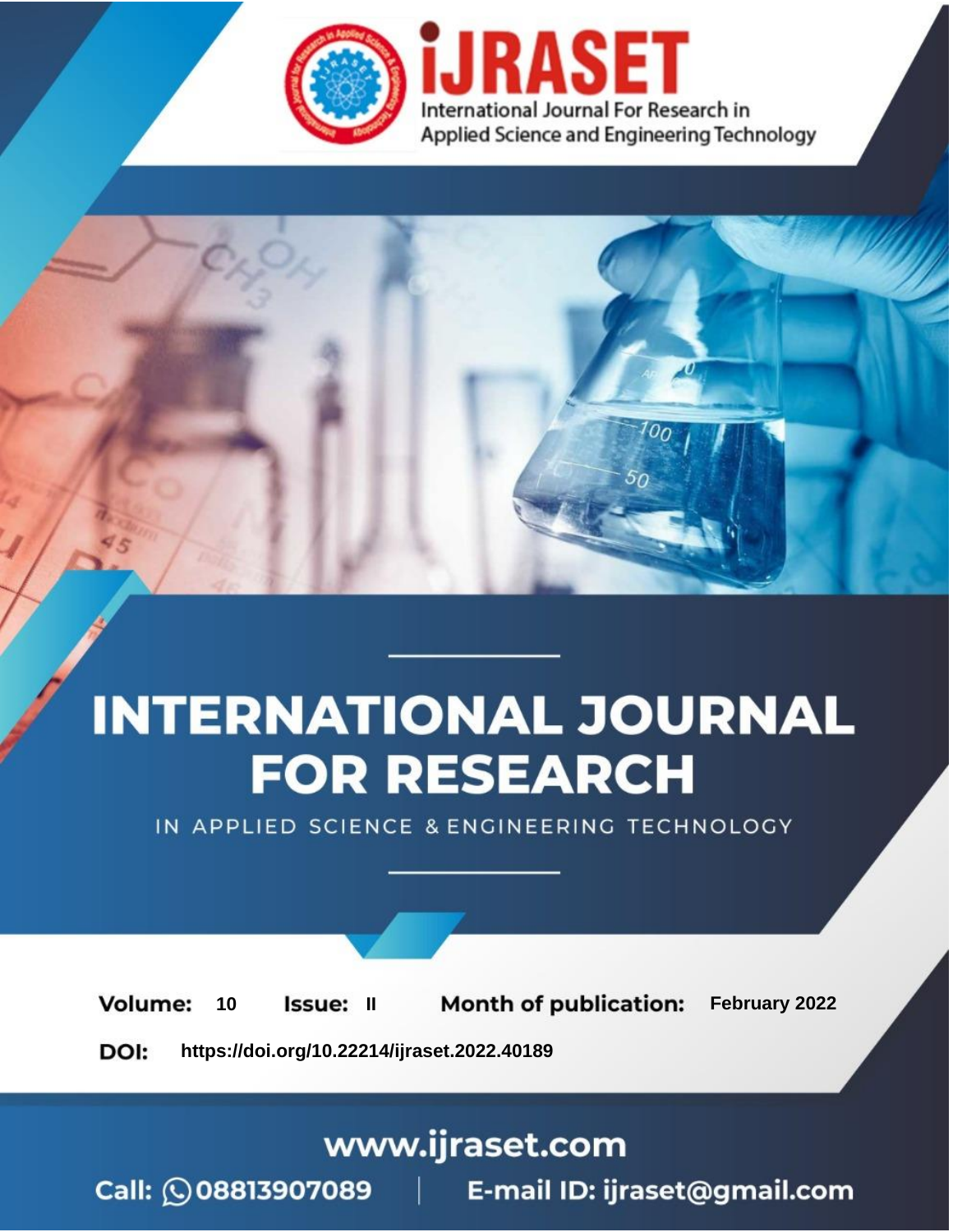

# **INTERNATIONAL JOURNAL FOR RESEARCH**

IN APPLIED SCIENCE & ENGINEERING TECHNOLOGY

**Month of publication:** February 2022 **Volume:** 10 **Issue: II** DOI: https://doi.org/10.22214/ijraset.2022.40189

www.ijraset.com

 $Call: \bigcirc$ 08813907089 E-mail ID: ijraset@gmail.com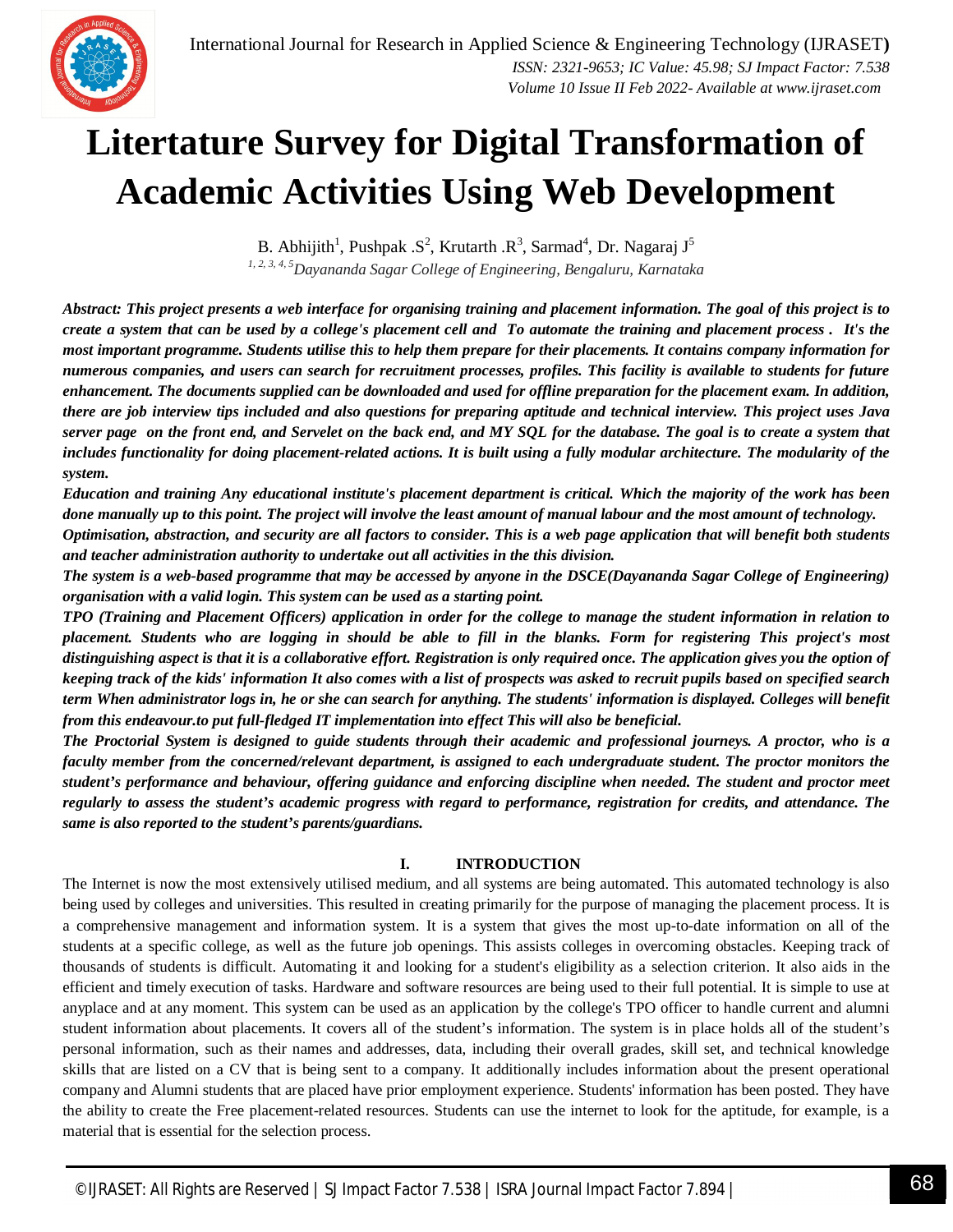

### **Litertature Survey for Digital Transformation of Academic Activities Using Web Development**

B. Abhijith<sup>1</sup>, Pushpak .S<sup>2</sup>, Krutarth .R<sup>3</sup>, Sarmad<sup>4</sup>, Dr. Nagaraj J<sup>5</sup> *1, 2, 3, 4, 5Dayananda Sagar College of Engineering, Bengaluru, Karnataka*

*Abstract: This project presents a web interface for organising training and placement information. The goal of this project is to create a system that can be used by a college's placement cell and To automate the training and placement process . It's the most important programme. Students utilise this to help them prepare for their placements. It contains company information for numerous companies, and users can search for recruitment processes, profiles. This facility is available to students for future enhancement. The documents supplied can be downloaded and used for offline preparation for the placement exam. In addition, there are job interview tips included and also questions for preparing aptitude and technical interview. This project uses Java server page on the front end, and Servelet on the back end, and MY SQL for the database. The goal is to create a system that includes functionality for doing placement-related actions. It is built using a fully modular architecture. The modularity of the system.*

*Education and training Any educational institute's placement department is critical. Which the majority of the work has been done manually up to this point. The project will involve the least amount of manual labour and the most amount of technology.*

*Optimisation, abstraction, and security are all factors to consider. This is a web page application that will benefit both students and teacher administration authority to undertake out all activities in the this division.*

*The system is a web-based programme that may be accessed by anyone in the DSCE(Dayananda Sagar College of Engineering) organisation with a valid login. This system can be used as a starting point.*

*TPO (Training and Placement Officers) application in order for the college to manage the student information in relation to placement. Students who are logging in should be able to fill in the blanks. Form for registering This project's most distinguishing aspect is that it is a collaborative effort. Registration is only required once. The application gives you the option of keeping track of the kids' information It also comes with a list of prospects was asked to recruit pupils based on specified search term When administrator logs in, he or she can search for anything. The students' information is displayed. Colleges will benefit from this endeavour.to put full-fledged IT implementation into effect This will also be beneficial.*

*The Proctorial System is designed to guide students through their academic and professional journeys. A proctor, who is a faculty member from the concerned/relevant department, is assigned to each undergraduate student. The proctor monitors the student's performance and behaviour, offering guidance and enforcing discipline when needed. The student and proctor meet regularly to assess the student's academic progress with regard to performance, registration for credits, and attendance. The same is also reported to the student's parents/guardians.*

#### **I. INTRODUCTION**

The Internet is now the most extensively utilised medium, and all systems are being automated. This automated technology is also being used by colleges and universities. This resulted in creating primarily for the purpose of managing the placement process. It is a comprehensive management and information system. It is a system that gives the most up-to-date information on all of the students at a specific college, as well as the future job openings. This assists colleges in overcoming obstacles. Keeping track of thousands of students is difficult. Automating it and looking for a student's eligibility as a selection criterion. It also aids in the efficient and timely execution of tasks. Hardware and software resources are being used to their full potential. It is simple to use at anyplace and at any moment. This system can be used as an application by the college's TPO officer to handle current and alumni student information about placements. It covers all of the student's information. The system is in place holds all of the student's personal information, such as their names and addresses, data, including their overall grades, skill set, and technical knowledge skills that are listed on a CV that is being sent to a company. It additionally includes information about the present operational company and Alumni students that are placed have prior employment experience. Students' information has been posted. They have the ability to create the Free placement-related resources. Students can use the internet to look for the aptitude, for example, is a material that is essential for the selection process.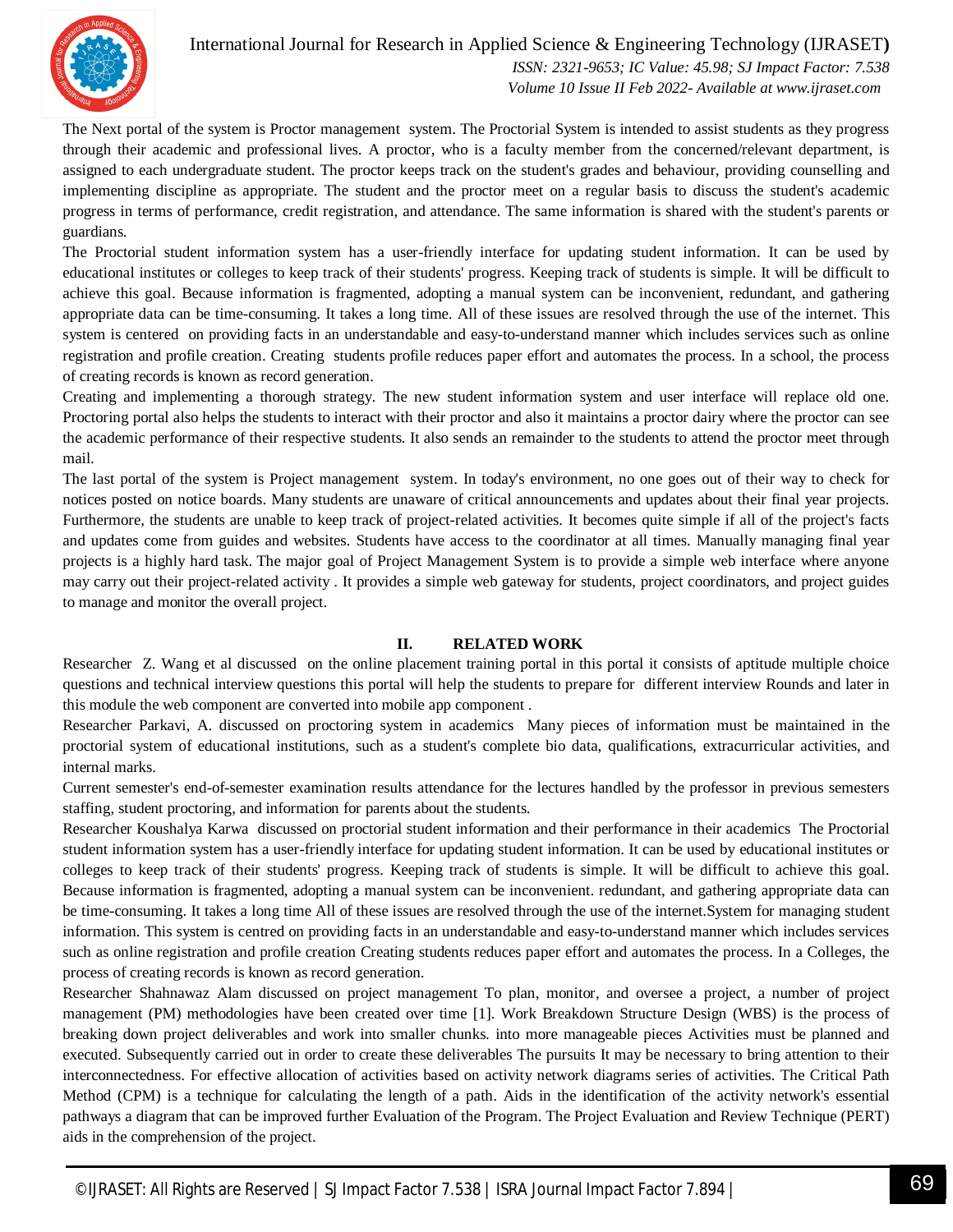

International Journal for Research in Applied Science & Engineering Technology (IJRASET**)**  *ISSN: 2321-9653; IC Value: 45.98; SJ Impact Factor: 7.538 Volume 10 Issue II Feb 2022- Available at www.ijraset.com*

The Next portal of the system is Proctor management system. The Proctorial System is intended to assist students as they progress through their academic and professional lives. A proctor, who is a faculty member from the concerned/relevant department, is assigned to each undergraduate student. The proctor keeps track on the student's grades and behaviour, providing counselling and implementing discipline as appropriate. The student and the proctor meet on a regular basis to discuss the student's academic progress in terms of performance, credit registration, and attendance. The same information is shared with the student's parents or guardians.

The Proctorial student information system has a user-friendly interface for updating student information. It can be used by educational institutes or colleges to keep track of their students' progress. Keeping track of students is simple. It will be difficult to achieve this goal. Because information is fragmented, adopting a manual system can be inconvenient, redundant, and gathering appropriate data can be time-consuming. It takes a long time. All of these issues are resolved through the use of the internet. This system is centered on providing facts in an understandable and easy-to-understand manner which includes services such as online registration and profile creation. Creating students profile reduces paper effort and automates the process. In a school, the process of creating records is known as record generation.

Creating and implementing a thorough strategy. The new student information system and user interface will replace old one. Proctoring portal also helps the students to interact with their proctor and also it maintains a proctor dairy where the proctor can see the academic performance of their respective students. It also sends an remainder to the students to attend the proctor meet through mail.

The last portal of the system is Project management system. In today's environment, no one goes out of their way to check for notices posted on notice boards. Many students are unaware of critical announcements and updates about their final year projects. Furthermore, the students are unable to keep track of project-related activities. It becomes quite simple if all of the project's facts and updates come from guides and websites. Students have access to the coordinator at all times. Manually managing final year projects is a highly hard task. The major goal of Project Management System is to provide a simple web interface where anyone may carry out their project-related activity . It provides a simple web gateway for students, project coordinators, and project guides to manage and monitor the overall project.

#### **II. RELATED WORK**

Researcher Z. Wang et al discussed on the online placement training portal in this portal it consists of aptitude multiple choice questions and technical interview questions this portal will help the students to prepare for different interview Rounds and later in this module the web component are converted into mobile app component .

Researcher Parkavi, A. discussed on proctoring system in academics Many pieces of information must be maintained in the proctorial system of educational institutions, such as a student's complete bio data, qualifications, extracurricular activities, and internal marks.

Current semester's end-of-semester examination results attendance for the lectures handled by the professor in previous semesters staffing, student proctoring, and information for parents about the students.

Researcher Koushalya Karwa discussed on proctorial student information and their performance in their academics The Proctorial student information system has a user-friendly interface for updating student information. It can be used by educational institutes or colleges to keep track of their students' progress. Keeping track of students is simple. It will be difficult to achieve this goal. Because information is fragmented, adopting a manual system can be inconvenient. redundant, and gathering appropriate data can be time-consuming. It takes a long time All of these issues are resolved through the use of the internet.System for managing student information. This system is centred on providing facts in an understandable and easy-to-understand manner which includes services such as online registration and profile creation Creating students reduces paper effort and automates the process. In a Colleges, the process of creating records is known as record generation.

Researcher Shahnawaz Alam discussed on project management To plan, monitor, and oversee a project, a number of project management (PM) methodologies have been created over time [1]. Work Breakdown Structure Design (WBS) is the process of breaking down project deliverables and work into smaller chunks. into more manageable pieces Activities must be planned and executed. Subsequently carried out in order to create these deliverables The pursuits It may be necessary to bring attention to their interconnectedness. For effective allocation of activities based on activity network diagrams series of activities. The Critical Path Method (CPM) is a technique for calculating the length of a path. Aids in the identification of the activity network's essential pathways a diagram that can be improved further Evaluation of the Program. The Project Evaluation and Review Technique (PERT) aids in the comprehension of the project.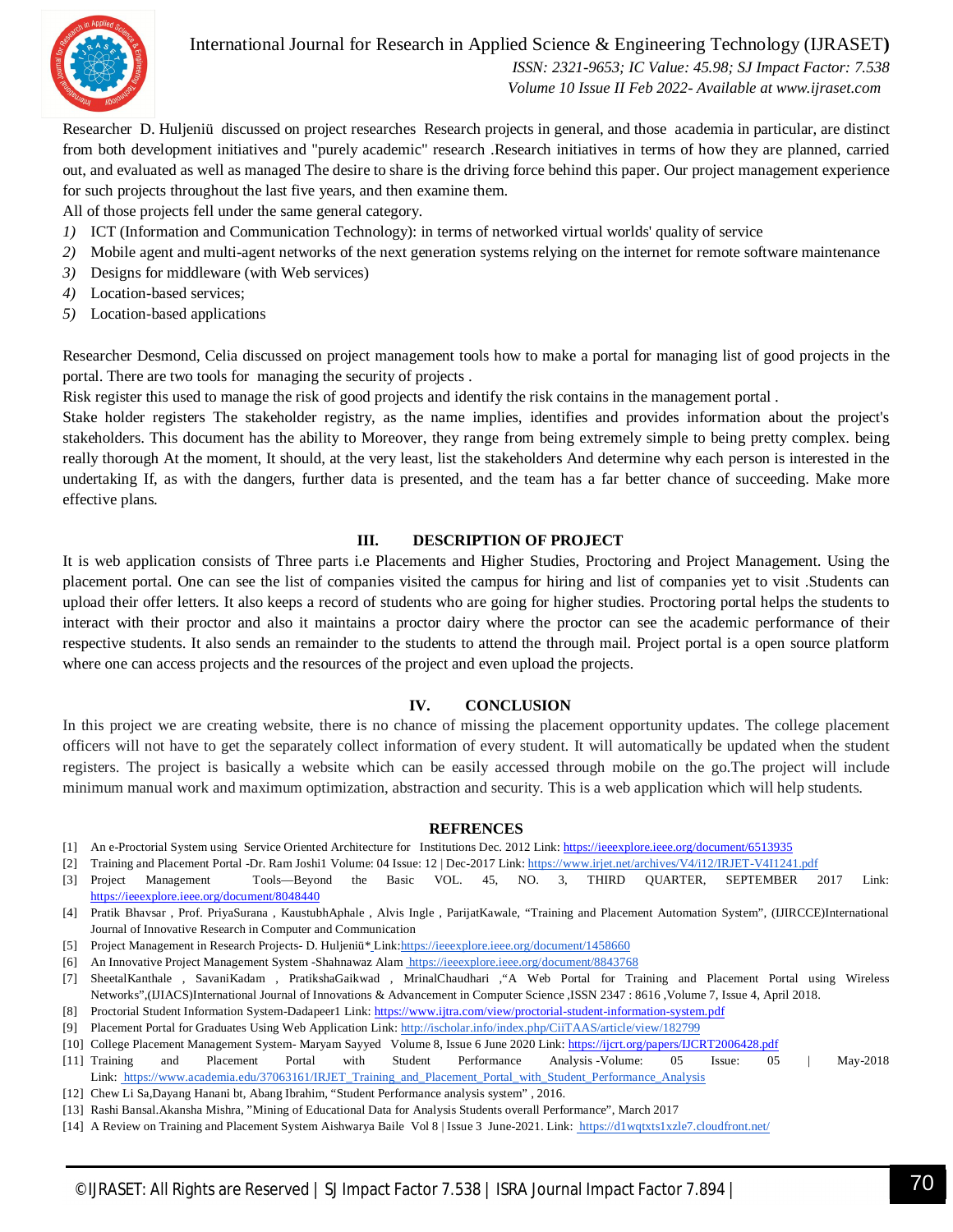

International Journal for Research in Applied Science & Engineering Technology (IJRASET**)**

 *ISSN: 2321-9653; IC Value: 45.98; SJ Impact Factor: 7.538 Volume 10 Issue II Feb 2022- Available at www.ijraset.com*

Researcher D. Huljeniü discussed on project researches Research projects in general, and those academia in particular, are distinct from both development initiatives and "purely academic" research .Research initiatives in terms of how they are planned, carried out, and evaluated as well as managed The desire to share is the driving force behind this paper. Our project management experience for such projects throughout the last five years, and then examine them.

All of those projects fell under the same general category.

- *1)* ICT (Information and Communication Technology): in terms of networked virtual worlds' quality of service
- *2)* Mobile agent and multi-agent networks of the next generation systems relying on the internet for remote software maintenance
- *3)* Designs for middleware (with Web services)
- *4)* Location-based services;
- *5)* Location-based applications

Researcher Desmond, Celia discussed on project management tools how to make a portal for managing list of good projects in the portal. There are two tools for managing the security of projects .

Risk register this used to manage the risk of good projects and identify the risk contains in the management portal .

Stake holder registers The stakeholder registry, as the name implies, identifies and provides information about the project's stakeholders. This document has the ability to Moreover, they range from being extremely simple to being pretty complex. being really thorough At the moment, It should, at the very least, list the stakeholders And determine why each person is interested in the undertaking If, as with the dangers, further data is presented, and the team has a far better chance of succeeding. Make more effective plans.

#### **III. DESCRIPTION OF PROJECT**

It is web application consists of Three parts i.e Placements and Higher Studies, Proctoring and Project Management. Using the placement portal. One can see the list of companies visited the campus for hiring and list of companies yet to visit .Students can upload their offer letters. It also keeps a record of students who are going for higher studies. Proctoring portal helps the students to interact with their proctor and also it maintains a proctor dairy where the proctor can see the academic performance of their respective students. It also sends an remainder to the students to attend the through mail. Project portal is a open source platform where one can access projects and the resources of the project and even upload the projects.

#### **IV. CONCLUSION**

In this project we are creating website, there is no chance of missing the placement opportunity updates. The college placement officers will not have to get the separately collect information of every student. It will automatically be updated when the student registers. The project is basically a website which can be easily accessed through mobile on the go.The project will include minimum manual work and maximum optimization, abstraction and security. This is a web application which will help students.

#### **REFRENCES**

- [1] An e-Proctorial System using Service Oriented Architecture for Institutions Dec. 2012 Link: https://ieeexplore.ieee.org/document/6513935
- [2] Training and Placement Portal -Dr. Ram Joshi1 Volume: 04 Issue: 12 | Dec-2017 Link: https://www.irjet.net/archives/V4/i12/IRJET-V4I1241.pdf
- [3] Project Management Tools—Beyond the Basic VOL. 45, NO. 3, THIRD QUARTER, SEPTEMBER 2017 Link: https://ieeexplore.ieee.org/document/8048440

[4] Pratik Bhavsar , Prof. PriyaSurana , KaustubhAphale , Alvis Ingle , ParijatKawale, "Training and Placement Automation System", (IJIRCCE)International Journal of Innovative Research in Computer and Communication

- [5] Project Management in Research Projects- D. Huljeniü\* Link:https://ieeexplore.ieee.org/document/1458660
- [6] An Innovative Project Management System -Shahnawaz Alam https://ieeexplore.ieee.org/document/8843768
- [7] SheetalKanthale , SavaniKadam , PratikshaGaikwad , MrinalChaudhari ,"A Web Portal for Training and Placement Portal using Wireless Networks",(IJIACS)International Journal of Innovations & Advancement in Computer Science ,ISSN 2347 : 8616 ,Volume 7, Issue 4, April 2018.
- [8] Proctorial Student Information System-Dadapeer1 Link: https://www.ijtra.com/view/proctorial-student-information-system.pdf
- [9] Placement Portal for Graduates Using Web Application Link: http://ischolar.info/index.php/CiiTAAS/article/view/182799
- [10] College Placement Management System- Maryam Sayyed Volume 8, Issue 6 June 2020 Link: https://ijcrt.org/papers/IJCRT2006428.pdf [11] Training and Placement Portal with Student Performance Analysis -Volume: 05 Issue: 05 | May-2018 Link: https://www.academia.edu/37063161/IRJET\_Training\_and\_Placement\_Portal\_with\_Student\_Performance\_Analysis
- [12] Chew Li Sa,Dayang Hanani bt, Abang Ibrahim, "Student Performance analysis system" , 2016.
- [13] Rashi Bansal.Akansha Mishra, "Mining of Educational Data for Analysis Students overall Performance", March 2017
- [14] A Review on Training and Placement System Aishwarya Baile Vol 8 | Issue 3 June-2021. Link: https://d1wqtxts1xzle7.cloudfront.net/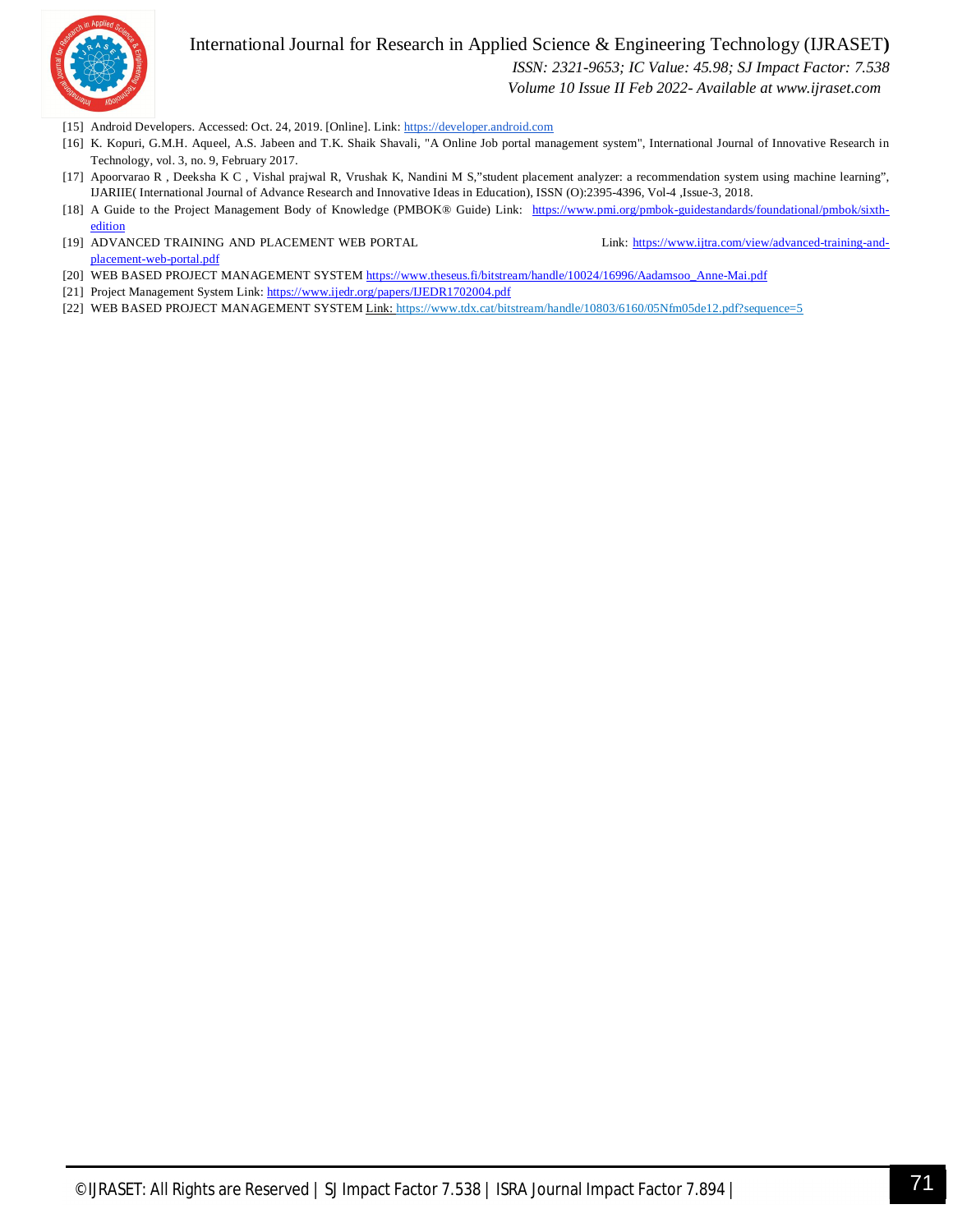

International Journal for Research in Applied Science & Engineering Technology (IJRASET**)**

 *ISSN: 2321-9653; IC Value: 45.98; SJ Impact Factor: 7.538*

 *Volume 10 Issue II Feb 2022- Available at www.ijraset.com*

- [15] Android Developers. Accessed: Oct. 24, 2019. [Online]. Link: https://developer.android.com
- [16] K. Kopuri, G.M.H. Aqueel, A.S. Jabeen and T.K. Shaik Shavali, "A Online Job portal management system", International Journal of Innovative Research in Technology, vol. 3, no. 9, February 2017.
- [17] Apoorvarao R , Deeksha K C , Vishal prajwal R, Vrushak K, Nandini M S,"student placement analyzer: a recommendation system using machine learning", IJARIIE( International Journal of Advance Research and Innovative Ideas in Education), ISSN (O):2395-4396, Vol-4 ,Issue-3, 2018.
- [18] A Guide to the Project Management Body of Knowledge (PMBOK® Guide) Link: https://www.pmi.org/pmbok-guidestandards/foundational/pmbok/sixthedition
- [19] ADVANCED TRAINING AND PLACEMENT WEB PORTAL Link: https://www.ijtra.com/view/advanced-training-andplacement-web-portal.pdf
	-
- [20] WEB BASED PROJECT MANAGEMENT SYSTEM https://www.theseus.fi/bitstream/handle/10024/16996/Aadamsoo\_Anne-Mai.pdf
- [21] Project Management System Link: https://www.ijedr.org/papers/IJEDR1702004.pdf
- [22] WEB BASED PROJECT MANAGEMENT SYSTEM Link: https://www.tdx.cat/bitstream/handle/10803/6160/05Nfm05de12.pdf?sequence=5